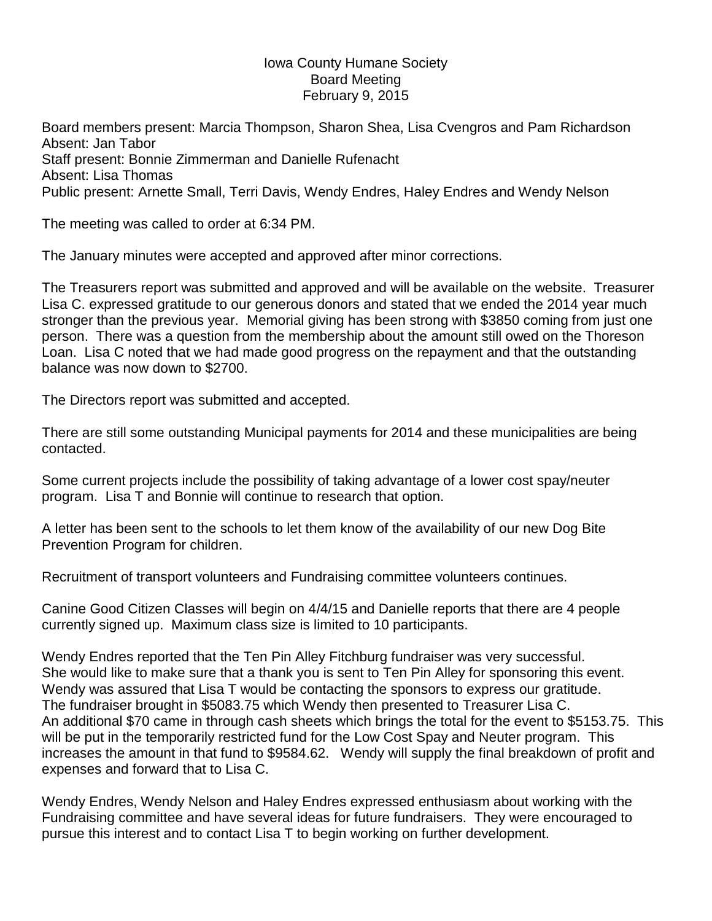## Iowa County Humane Society Board Meeting February 9, 2015

Board members present: Marcia Thompson, Sharon Shea, Lisa Cvengros and Pam Richardson Absent: Jan Tabor Staff present: Bonnie Zimmerman and Danielle Rufenacht Absent: Lisa Thomas Public present: Arnette Small, Terri Davis, Wendy Endres, Haley Endres and Wendy Nelson

The meeting was called to order at 6:34 PM.

The January minutes were accepted and approved after minor corrections.

The Treasurers report was submitted and approved and will be available on the website. Treasurer Lisa C. expressed gratitude to our generous donors and stated that we ended the 2014 year much stronger than the previous year. Memorial giving has been strong with \$3850 coming from just one person. There was a question from the membership about the amount still owed on the Thoreson Loan. Lisa C noted that we had made good progress on the repayment and that the outstanding balance was now down to \$2700.

The Directors report was submitted and accepted.

There are still some outstanding Municipal payments for 2014 and these municipalities are being contacted.

Some current projects include the possibility of taking advantage of a lower cost spay/neuter program. Lisa T and Bonnie will continue to research that option.

A letter has been sent to the schools to let them know of the availability of our new Dog Bite Prevention Program for children.

Recruitment of transport volunteers and Fundraising committee volunteers continues.

Canine Good Citizen Classes will begin on 4/4/15 and Danielle reports that there are 4 people currently signed up. Maximum class size is limited to 10 participants.

Wendy Endres reported that the Ten Pin Alley Fitchburg fundraiser was very successful. She would like to make sure that a thank you is sent to Ten Pin Alley for sponsoring this event. Wendy was assured that Lisa T would be contacting the sponsors to express our gratitude. The fundraiser brought in \$5083.75 which Wendy then presented to Treasurer Lisa C. An additional \$70 came in through cash sheets which brings the total for the event to \$5153.75. This will be put in the temporarily restricted fund for the Low Cost Spay and Neuter program. This increases the amount in that fund to \$9584.62. Wendy will supply the final breakdown of profit and expenses and forward that to Lisa C.

Wendy Endres, Wendy Nelson and Haley Endres expressed enthusiasm about working with the Fundraising committee and have several ideas for future fundraisers. They were encouraged to pursue this interest and to contact Lisa T to begin working on further development.